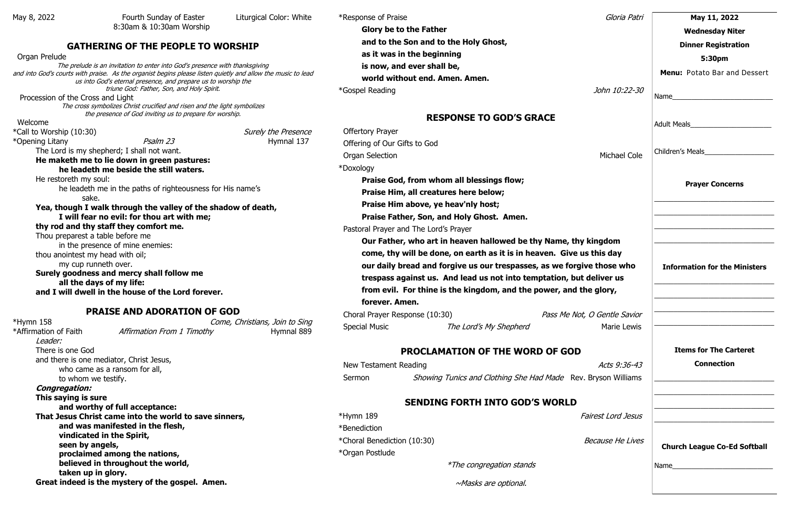## **GATHERING OF THE PEOPLE TO WORSHIP**

#### Organ Prelude

The prelude is an invitation to enter into God's presence with thanksgiving and into God's courts with praise. As the organist begins please listen quietly and allow the music to lead us into God's eternal presence, and prepare us to worship the triune God: Father, Son, and Holy Spirit.

Procession of the Cross and Light

The cross symbolizes Christ crucified and risen and the light symbolizes the presence of God inviting us to prepare for worship.

#### Welcome

\*Call to Worship (10:30) The Surely the Presence

\*Opening Litany **Pralm 23** Hymnal 137

\*Hymn 158 Come, Christians, Join to Sing \*Affirmation of Faith *Affirmation From 1 Timothy* Hymnal 889

The Lord is my shepherd; I shall not want.

#### **He maketh me to lie down in green pastures: he leadeth me beside the still waters.**

He restoreth my soul:

he leadeth me in the paths of righteousness for His name's sake.

**Yea, though I walk through the valley of the shadow of death, I will fear no evil: for thou art with me; thy rod and thy staff they comfort me.** 

Thou preparest a table before me

in the presence of mine enemies:

thou anointest my head with oil;

my cup runneth over.

**Surely goodness and mercy shall follow me** 

**all the days of my life:** 

**and I will dwell in the house of the Lord forever.**

## **PRAISE AND ADORATION OF GOD**

Leader:

There is one God and there is one mediator, Christ Jesus, who came as a ransom for all,

to whom we testify.

#### **Congregation:**

 $*$ Hymn 189 \*Benediction \*Choral Benediction (10:30) \*Organ Postlude

**This saying is sure and worthy of full acceptance: That Jesus Christ came into the world to save sinners, and was manifested in the flesh, vindicated in the Spirit, seen by angels, proclaimed among the nations, believed in throughout the world, taken up in glory. Great indeed is the mystery of the gospel. Amen.** 

\*Response of Praise

**Glory be to the Father**

**and to the Son and to the Holy Ghost,**

**as it was in the beginning**

**is now, and ever shall be,**

**world without end. Amen. Amen.**

\*Gospel Reading

# **RESPONSE TO GOD'S GRACE**

Offertory Prayer

 Offering of Our Gifts to God Organ Selection \*Doxology **Praise God, from whom all blessings flow; Praise Him, all creatures here below; Praise Him above, ye heav'nly host; Praise Father, Son, and Holy Ghost. Amen.** Pastoral Prayer and The Lord's Prayer **Our Father, who art in heaven hallowed be thy Name, thy come, thy will be done, on earth as it is in heaven. Give us our daily bread and forgive us our trespasses, as we forgiously** trespass against us. And lead us not into temptation, but from evil. For thine is the kingdom, and the power, and the glory of the glory of the glory and the glory of the glory of the glory and the glorid power. **forever. Amen.**

Choral Prayer Response (10:30) Pass Me Not Special Music The Lord's My Shepherd

# **PROCLAMATION OF THE WORD OF GOD**

New Testament Reading Sermon Showing Tunics and Clothing She Had Made Rev.

# **SENDING FORTH INTO GOD'S WORLD**

\*The congregation stands

~Masks are optional.

| Gloria Patri                                                            | May 11, 2022                         |
|-------------------------------------------------------------------------|--------------------------------------|
|                                                                         | <b>Wednesday Niter</b>               |
|                                                                         | <b>Dinner Registration</b>           |
|                                                                         | 5:30pm                               |
|                                                                         | Menu: Potato Bar and Dessert         |
| John 10:22-30                                                           |                                      |
|                                                                         |                                      |
| <b>Michael Cole</b>                                                     | Children's Meals                     |
|                                                                         | <b>Prayer Concerns</b>               |
|                                                                         |                                      |
| y kingdom<br>us this day<br>ive those who<br>t deliver us<br>the glory, | <b>Information for the Ministers</b> |
| t, O Gentle Savior<br><b>Marie Lewis</b>                                |                                      |
|                                                                         | <b>Items for The Carteret</b>        |
| Acts 9:36-43<br>. Bryson Williams                                       | <b>Connection</b>                    |
| Fairest Lord Jesus                                                      |                                      |
| <b>Because He Lives</b>                                                 | <b>Church League Co-Ed Softball</b>  |
|                                                                         | Name                                 |
|                                                                         |                                      |